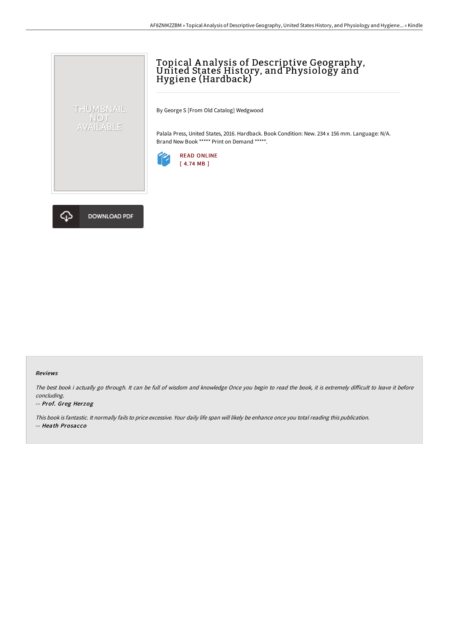# Topical Analysis of Descriptive Geography,<br>United States History, and Physiology and Hygiene (Hardback)

By George S [From Old Catalog] Wedgwood

Palala Press, United States, 2016. Hardback. Book Condition: New. 234 x 156 mm. Language: N/A. Brand New Book \*\*\*\*\* Print on Demand \*\*\*\*\*.





THUMBNAIL NOT<br>AVAILABLE

#### Reviews

The best book i actually go through. It can be full of wisdom and knowledge Once you begin to read the book, it is extremely difficult to leave it before concluding.

#### -- Prof. Greg Herzog

This book is fantastic. It normally fails to price excessive. Your daily life span will likely be enhance once you total reading this publication.

-- Heath Prosacco